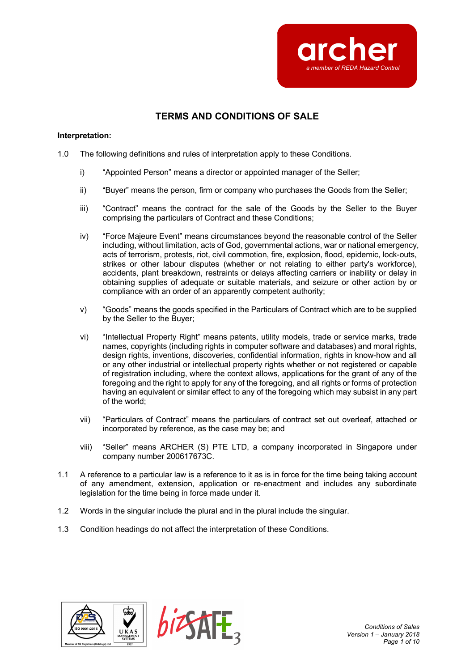

# **TERMS AND CONDITIONS OF SALE**

### **Interpretation:**

- 1.0 The following definitions and rules of interpretation apply to these Conditions.
	- i) "Appointed Person" means a director or appointed manager of the Seller;
	- ii) "Buyer" means the person, firm or company who purchases the Goods from the Seller;
	- iii) "Contract" means the contract for the sale of the Goods by the Seller to the Buyer comprising the particulars of Contract and these Conditions;
	- iv) "Force Majeure Event" means circumstances beyond the reasonable control of the Seller including, without limitation, acts of God, governmental actions, war or national emergency, acts of terrorism, protests, riot, civil commotion, fire, explosion, flood, epidemic, lock-outs, strikes or other labour disputes (whether or not relating to either party's workforce), accidents, plant breakdown, restraints or delays affecting carriers or inability or delay in obtaining supplies of adequate or suitable materials, and seizure or other action by or compliance with an order of an apparently competent authority;
	- v) "Goods" means the goods specified in the Particulars of Contract which are to be supplied by the Seller to the Buyer;
	- vi) "Intellectual Property Right" means patents, utility models, trade or service marks, trade names, copyrights (including rights in computer software and databases) and moral rights, design rights, inventions, discoveries, confidential information, rights in know-how and all or any other industrial or intellectual property rights whether or not registered or capable of registration including, where the context allows, applications for the grant of any of the foregoing and the right to apply for any of the foregoing, and all rights or forms of protection having an equivalent or similar effect to any of the foregoing which may subsist in any part of the world;
	- vii) "Particulars of Contract" means the particulars of contract set out overleaf, attached or incorporated by reference, as the case may be; and
	- viii) "Seller" means ARCHER (S) PTE LTD, a company incorporated in Singapore under company number 200617673C.
- 1.1 A reference to a particular law is a reference to it as is in force for the time being taking account of any amendment, extension, application or re-enactment and includes any subordinate legislation for the time being in force made under it.
- 1.2 Words in the singular include the plural and in the plural include the singular.
- 1.3 Condition headings do not affect the interpretation of these Conditions.



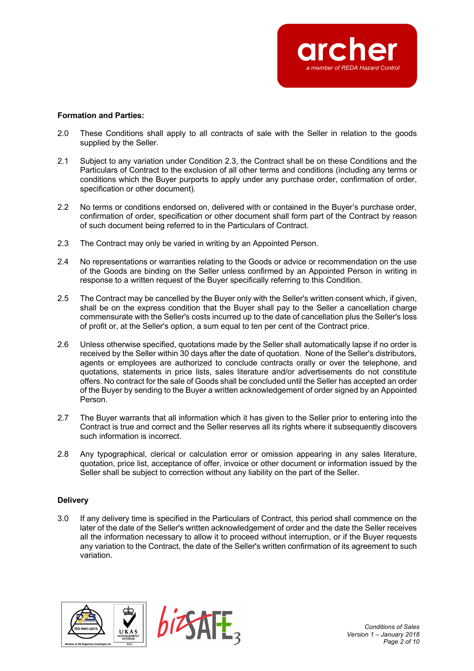

### **Formation and Parties:**

- 2.0 These Conditions shall apply to all contracts of sale with the Seller in relation to the goods supplied by the Seller.
- 2.1 Subject to any variation under Condition 2.3, the Contract shall be on these Conditions and the Particulars of Contract to the exclusion of all other terms and conditions (including any terms or conditions which the Buyer purports to apply under any purchase order, confirmation of order, specification or other document).
- 2.2 No terms or conditions endorsed on, delivered with or contained in the Buyer's purchase order, confirmation of order, specification or other document shall form part of the Contract by reason of such document being referred to in the Particulars of Contract.
- 2.3 The Contract may only be varied in writing by an Appointed Person.
- 2.4 No representations or warranties relating to the Goods or advice or recommendation on the use of the Goods are binding on the Seller unless confirmed by an Appointed Person in writing in response to a written request of the Buyer specifically referring to this Condition.
- 2.5 The Contract may be cancelled by the Buyer only with the Seller's written consent which, if given, shall be on the express condition that the Buyer shall pay to the Seller a cancellation charge commensurate with the Seller's costs incurred up to the date of cancellation plus the Seller's loss of profit or, at the Seller's option, a sum equal to ten per cent of the Contract price.
- 2.6 Unless otherwise specified, quotations made by the Seller shall automatically lapse if no order is received by the Seller within 30 days after the date of quotation. None of the Seller's distributors, agents or employees are authorized to conclude contracts orally or over the telephone, and quotations, statements in price lists, sales literature and/or advertisements do not constitute offers. No contract for the sale of Goods shall be concluded until the Seller has accepted an order of the Buyer by sending to the Buyer a written acknowledgement of order signed by an Appointed Person.
- 2.7 The Buyer warrants that all information which it has given to the Seller prior to entering into the Contract is true and correct and the Seller reserves all its rights where it subsequently discovers such information is incorrect.
- 2.8 Any typographical, clerical or calculation error or omission appearing in any sales literature, quotation, price list, acceptance of offer, invoice or other document or information issued by the Seller shall be subject to correction without any liability on the part of the Seller.

# **Delivery**

3.0 If any delivery time is specified in the Particulars of Contract, this period shall commence on the later of the date of the Seller's written acknowledgement of order and the date the Seller receives all the information necessary to allow it to proceed without interruption, or if the Buyer requests any variation to the Contract, the date of the Seller's written confirmation of its agreement to such variation.





*Conditions of Sales Version 1 – January 2018 Page 2 of 10*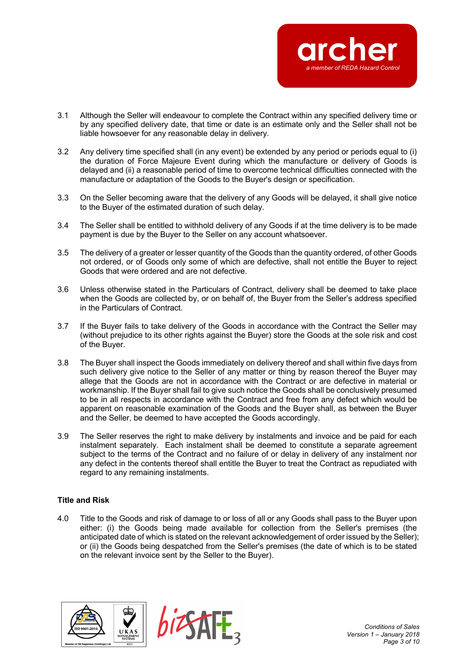

- 3.1 Although the Seller will endeavour to complete the Contract within any specified delivery time or by any specified delivery date, that time or date is an estimate only and the Seller shall not be liable howsoever for any reasonable delay in delivery.
- 3.2 Any delivery time specified shall (in any event) be extended by any period or periods equal to (i) the duration of Force Majeure Event during which the manufacture or delivery of Goods is delayed and (ii) a reasonable period of time to overcome technical difficulties connected with the manufacture or adaptation of the Goods to the Buyer's design or specification.
- 3.3 On the Seller becoming aware that the delivery of any Goods will be delayed, it shall give notice to the Buyer of the estimated duration of such delay.
- 3.4 The Seller shall be entitled to withhold delivery of any Goods if at the time delivery is to be made payment is due by the Buyer to the Seller on any account whatsoever.
- 3.5 The delivery of a greater or lesser quantity of the Goods than the quantity ordered, of other Goods not ordered, or of Goods only some of which are defective, shall not entitle the Buyer to reject Goods that were ordered and are not defective.
- 3.6 Unless otherwise stated in the Particulars of Contract, delivery shall be deemed to take place when the Goods are collected by, or on behalf of, the Buyer from the Seller's address specified in the Particulars of Contract.
- 3.7 If the Buyer fails to take delivery of the Goods in accordance with the Contract the Seller may (without prejudice to its other rights against the Buyer) store the Goods at the sole risk and cost of the Buyer.
- 3.8 The Buyer shall inspect the Goods immediately on delivery thereof and shall within five days from such delivery give notice to the Seller of any matter or thing by reason thereof the Buyer may allege that the Goods are not in accordance with the Contract or are defective in material or workmanship. If the Buyer shall fail to give such notice the Goods shall be conclusively presumed to be in all respects in accordance with the Contract and free from any defect which would be apparent on reasonable examination of the Goods and the Buyer shall, as between the Buyer and the Seller, be deemed to have accepted the Goods accordingly.
- 3.9 The Seller reserves the right to make delivery by instalments and invoice and be paid for each instalment separately. Each instalment shall be deemed to constitute a separate agreement subject to the terms of the Contract and no failure of or delay in delivery of any instalment nor any defect in the contents thereof shall entitle the Buyer to treat the Contract as repudiated with regard to any remaining instalments.

# **Title and Risk**

4.0 Title to the Goods and risk of damage to or loss of all or any Goods shall pass to the Buyer upon either: (i) the Goods being made available for collection from the Seller's premises (the anticipated date of which is stated on the relevant acknowledgement of order issued by the Seller); or (ii) the Goods being despatched from the Seller's premises (the date of which is to be stated on the relevant invoice sent by the Seller to the Buyer).





*Conditions of Sales Version 1 – January 2018 Page 3 of 10*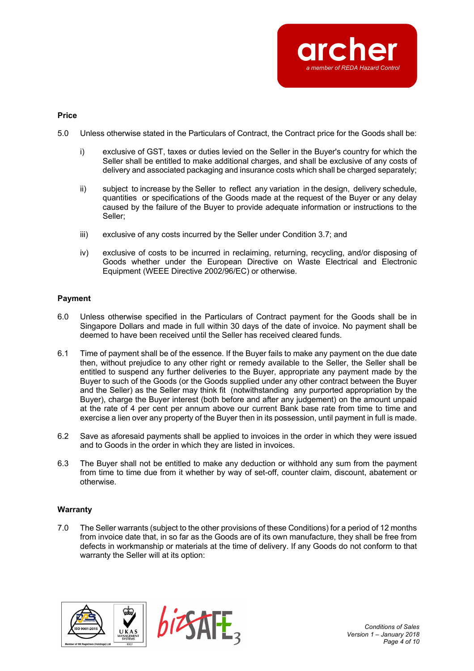

### **Price**

- 5.0 Unless otherwise stated in the Particulars of Contract, the Contract price for the Goods shall be:
	- i) exclusive of GST, taxes or duties levied on the Seller in the Buyer's country for which the Seller shall be entitled to make additional charges, and shall be exclusive of any costs of delivery and associated packaging and insurance costs which shall be charged separately;
	- ii) subject to increase by the Seller to reflect any variation in the design, delivery schedule, quantities or specifications of the Goods made at the request of the Buyer or any delay caused by the failure of the Buyer to provide adequate information or instructions to the Seller;
	- iii) exclusive of any costs incurred by the Seller under Condition 3.7; and
	- iv) exclusive of costs to be incurred in reclaiming, returning, recycling, and/or disposing of Goods whether under the European Directive on Waste Electrical and Electronic Equipment (WEEE Directive 2002/96/EC) or otherwise.

# **Payment**

- 6.0 Unless otherwise specified in the Particulars of Contract payment for the Goods shall be in Singapore Dollars and made in full within 30 days of the date of invoice. No payment shall be deemed to have been received until the Seller has received cleared funds.
- 6.1 Time of payment shall be of the essence. If the Buyer fails to make any payment on the due date then, without prejudice to any other right or remedy available to the Seller, the Seller shall be entitled to suspend any further deliveries to the Buyer, appropriate any payment made by the Buyer to such of the Goods (or the Goods supplied under any other contract between the Buyer and the Seller) as the Seller may think fit (notwithstanding any purported appropriation by the Buyer), charge the Buyer interest (both before and after any judgement) on the amount unpaid at the rate of 4 per cent per annum above our current Bank base rate from time to time and exercise a lien over any property of the Buyer then in its possession, until payment in full is made.
- 6.2 Save as aforesaid payments shall be applied to invoices in the order in which they were issued and to Goods in the order in which they are listed in invoices.
- 6.3 The Buyer shall not be entitled to make any deduction or withhold any sum from the payment from time to time due from it whether by way of set-off, counter claim, discount, abatement or otherwise.

# **Warranty**

7.0 The Seller warrants (subject to the other provisions of these Conditions) for a period of 12 months from invoice date that, in so far as the Goods are of its own manufacture, they shall be free from defects in workmanship or materials at the time of delivery. If any Goods do not conform to that warranty the Seller will at its option:





*Conditions of Sales Version 1 – January 2018 Page 4 of 10*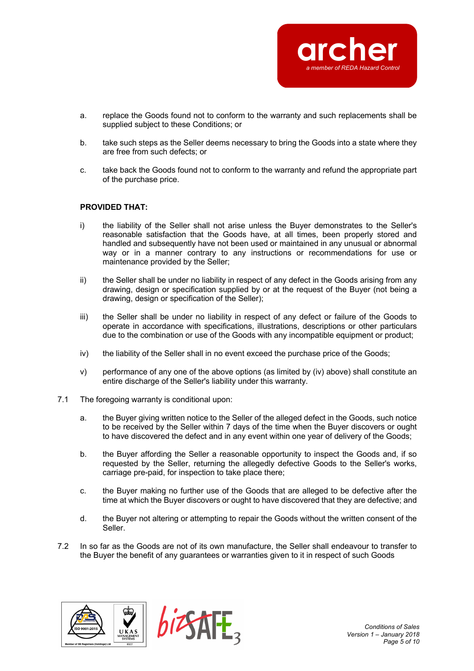

- a. replace the Goods found not to conform to the warranty and such replacements shall be supplied subject to these Conditions; or
- b. take such steps as the Seller deems necessary to bring the Goods into a state where they are free from such defects; or
- c. take back the Goods found not to conform to the warranty and refund the appropriate part of the purchase price.

### **PROVIDED THAT:**

- i) the liability of the Seller shall not arise unless the Buyer demonstrates to the Seller's reasonable satisfaction that the Goods have, at all times, been properly stored and handled and subsequently have not been used or maintained in any unusual or abnormal way or in a manner contrary to any instructions or recommendations for use or maintenance provided by the Seller;
- ii) the Seller shall be under no liability in respect of any defect in the Goods arising from any drawing, design or specification supplied by or at the request of the Buyer (not being a drawing, design or specification of the Seller);
- iii) the Seller shall be under no liability in respect of any defect or failure of the Goods to operate in accordance with specifications, illustrations, descriptions or other particulars due to the combination or use of the Goods with any incompatible equipment or product;
- iv) the liability of the Seller shall in no event exceed the purchase price of the Goods;
- v) performance of any one of the above options (as limited by (iv) above) shall constitute an entire discharge of the Seller's liability under this warranty.
- 7.1 The foregoing warranty is conditional upon:
	- a. the Buyer giving written notice to the Seller of the alleged defect in the Goods, such notice to be received by the Seller within 7 days of the time when the Buyer discovers or ought to have discovered the defect and in any event within one year of delivery of the Goods;
	- b. the Buyer affording the Seller a reasonable opportunity to inspect the Goods and, if so requested by the Seller, returning the allegedly defective Goods to the Seller's works, carriage pre-paid, for inspection to take place there;
	- c. the Buyer making no further use of the Goods that are alleged to be defective after the time at which the Buyer discovers or ought to have discovered that they are defective; and
	- d. the Buyer not altering or attempting to repair the Goods without the written consent of the Seller.
- 7.2 In so far as the Goods are not of its own manufacture, the Seller shall endeavour to transfer to the Buyer the benefit of any guarantees or warranties given to it in respect of such Goods





*Conditions of Sales Version 1 – January 2018 Page 5 of 10*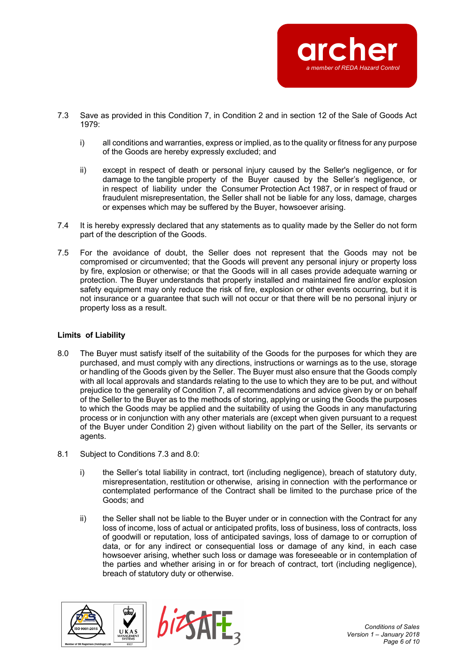

- 7.3 Save as provided in this Condition 7, in Condition 2 and in section 12 of the Sale of Goods Act 1979:
	- i) all conditions and warranties, express or implied, as to the quality or fitness for any purpose of the Goods are hereby expressly excluded; and
	- ii) except in respect of death or personal injury caused by the Seller's negligence, or for damage to the tangible property of the Buyer caused by the Seller's negligence, or in respect of liability under the Consumer Protection Act 1987, or in respect of fraud or fraudulent misrepresentation, the Seller shall not be liable for any loss, damage, charges or expenses which may be suffered by the Buyer, howsoever arising.
- 7.4 It is hereby expressly declared that any statements as to quality made by the Seller do not form part of the description of the Goods.
- 7.5 For the avoidance of doubt, the Seller does not represent that the Goods may not be compromised or circumvented; that the Goods will prevent any personal injury or property loss by fire, explosion or otherwise; or that the Goods will in all cases provide adequate warning or protection. The Buyer understands that properly installed and maintained fire and/or explosion safety equipment may only reduce the risk of fire, explosion or other events occurring, but it is not insurance or a guarantee that such will not occur or that there will be no personal injury or property loss as a result.

# **Limits of Liability**

- 8.0 The Buyer must satisfy itself of the suitability of the Goods for the purposes for which they are purchased, and must comply with any directions, instructions or warnings as to the use, storage or handling of the Goods given by the Seller. The Buyer must also ensure that the Goods comply with all local approvals and standards relating to the use to which they are to be put, and without prejudice to the generality of Condition 7, all recommendations and advice given by or on behalf of the Seller to the Buyer as to the methods of storing, applying or using the Goods the purposes to which the Goods may be applied and the suitability of using the Goods in any manufacturing process or in conjunction with any other materials are (except when given pursuant to a request of the Buyer under Condition 2) given without liability on the part of the Seller, its servants or agents.
- 8.1 Subject to Conditions 7.3 and 8.0:
	- i) the Seller's total liability in contract, tort (including negligence), breach of statutory duty, misrepresentation, restitution or otherwise, arising in connection with the performance or contemplated performance of the Contract shall be limited to the purchase price of the Goods; and
	- ii) the Seller shall not be liable to the Buyer under or in connection with the Contract for any loss of income, loss of actual or anticipated profits, loss of business, loss of contracts, loss of goodwill or reputation, loss of anticipated savings, loss of damage to or corruption of data, or for any indirect or consequential loss or damage of any kind, in each case howsoever arising, whether such loss or damage was foreseeable or in contemplation of the parties and whether arising in or for breach of contract, tort (including negligence), breach of statutory duty or otherwise.



*Conditions of Sales Version 1 – January 2018 Page 6 of 10*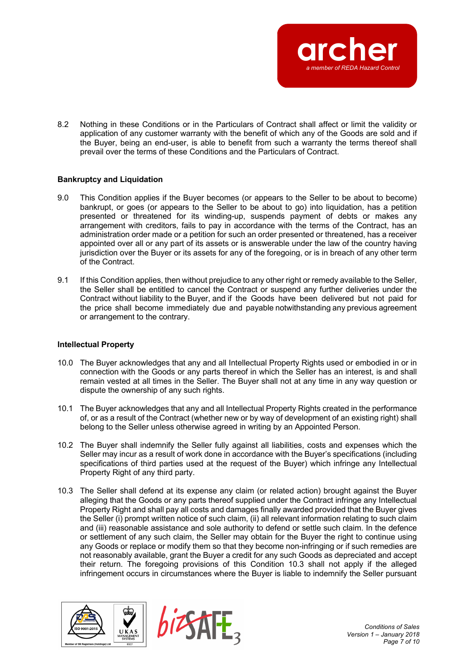

8.2 Nothing in these Conditions or in the Particulars of Contract shall affect or limit the validity or application of any customer warranty with the benefit of which any of the Goods are sold and if the Buyer, being an end-user, is able to benefit from such a warranty the terms thereof shall prevail over the terms of these Conditions and the Particulars of Contract.

### **Bankruptcy and Liquidation**

- 9.0 This Condition applies if the Buyer becomes (or appears to the Seller to be about to become) bankrupt, or goes (or appears to the Seller to be about to go) into liquidation, has a petition presented or threatened for its winding-up, suspends payment of debts or makes any arrangement with creditors, fails to pay in accordance with the terms of the Contract, has an administration order made or a petition for such an order presented or threatened, has a receiver appointed over all or any part of its assets or is answerable under the law of the country having jurisdiction over the Buyer or its assets for any of the foregoing, or is in breach of any other term of the Contract.
- 9.1 If this Condition applies, then without prejudice to any other right or remedy available to the Seller, the Seller shall be entitled to cancel the Contract or suspend any further deliveries under the Contract without liability to the Buyer, and if the Goods have been delivered but not paid for the price shall become immediately due and payable notwithstanding any previous agreement or arrangement to the contrary.

#### **Intellectual Property**

- 10.0 The Buyer acknowledges that any and all Intellectual Property Rights used or embodied in or in connection with the Goods or any parts thereof in which the Seller has an interest, is and shall remain vested at all times in the Seller. The Buyer shall not at any time in any way question or dispute the ownership of any such rights.
- 10.1 The Buyer acknowledges that any and all Intellectual Property Rights created in the performance of, or as a result of the Contract (whether new or by way of development of an existing right) shall belong to the Seller unless otherwise agreed in writing by an Appointed Person.
- 10.2 The Buyer shall indemnify the Seller fully against all liabilities, costs and expenses which the Seller may incur as a result of work done in accordance with the Buyer's specifications (including specifications of third parties used at the request of the Buyer) which infringe any Intellectual Property Right of any third party.
- 10.3 The Seller shall defend at its expense any claim (or related action) brought against the Buyer alleging that the Goods or any parts thereof supplied under the Contract infringe any Intellectual Property Right and shall pay all costs and damages finally awarded provided that the Buyer gives the Seller (i) prompt written notice of such claim, (ii) all relevant information relating to such claim and (iii) reasonable assistance and sole authority to defend or settle such claim. In the defence or settlement of any such claim, the Seller may obtain for the Buyer the right to continue using any Goods or replace or modify them so that they become non-infringing or if such remedies are not reasonably available, grant the Buyer a credit for any such Goods as depreciated and accept their return. The foregoing provisions of this Condition 10.3 shall not apply if the alleged infringement occurs in circumstances where the Buyer is liable to indemnify the Seller pursuant



*Conditions of Sales Version 1 – January 2018 Page 7 of 10*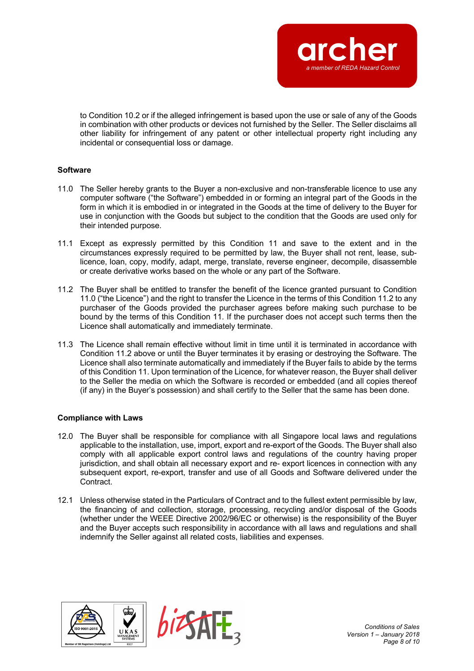

to Condition 10.2 or if the alleged infringement is based upon the use or sale of any of the Goods in combination with other products or devices not furnished by the Seller. The Seller disclaims all other liability for infringement of any patent or other intellectual property right including any incidental or consequential loss or damage.

# **Software**

- 11.0 The Seller hereby grants to the Buyer a non-exclusive and non-transferable licence to use any computer software ("the Software") embedded in or forming an integral part of the Goods in the form in which it is embodied in or integrated in the Goods at the time of delivery to the Buyer for use in conjunction with the Goods but subject to the condition that the Goods are used only for their intended purpose.
- 11.1 Except as expressly permitted by this Condition 11 and save to the extent and in the circumstances expressly required to be permitted by law, the Buyer shall not rent, lease, sublicence, loan, copy, modify, adapt, merge, translate, reverse engineer, decompile, disassemble or create derivative works based on the whole or any part of the Software.
- 11.2 The Buyer shall be entitled to transfer the benefit of the licence granted pursuant to Condition 11.0 ("the Licence") and the right to transfer the Licence in the terms of this Condition 11.2 to any purchaser of the Goods provided the purchaser agrees before making such purchase to be bound by the terms of this Condition 11. If the purchaser does not accept such terms then the Licence shall automatically and immediately terminate.
- 11.3 The Licence shall remain effective without limit in time until it is terminated in accordance with Condition 11.2 above or until the Buyer terminates it by erasing or destroying the Software. The Licence shall also terminate automatically and immediately if the Buyer fails to abide by the terms of this Condition 11. Upon termination of the Licence, for whatever reason, the Buyer shall deliver to the Seller the media on which the Software is recorded or embedded (and all copies thereof (if any) in the Buyer's possession) and shall certify to the Seller that the same has been done.

# **Compliance with Laws**

- 12.0 The Buyer shall be responsible for compliance with all Singapore local laws and regulations applicable to the installation, use, import, export and re-export of the Goods. The Buyer shall also comply with all applicable export control laws and regulations of the country having proper jurisdiction, and shall obtain all necessary export and re- export licences in connection with any subsequent export, re-export, transfer and use of all Goods and Software delivered under the **Contract**
- 12.1 Unless otherwise stated in the Particulars of Contract and to the fullest extent permissible by law, the financing of and collection, storage, processing, recycling and/or disposal of the Goods (whether under the WEEE Directive 2002/96/EC or otherwise) is the responsibility of the Buyer and the Buyer accepts such responsibility in accordance with all laws and regulations and shall indemnify the Seller against all related costs, liabilities and expenses.



*Conditions of Sales Version 1 – January 2018 Page 8 of 10*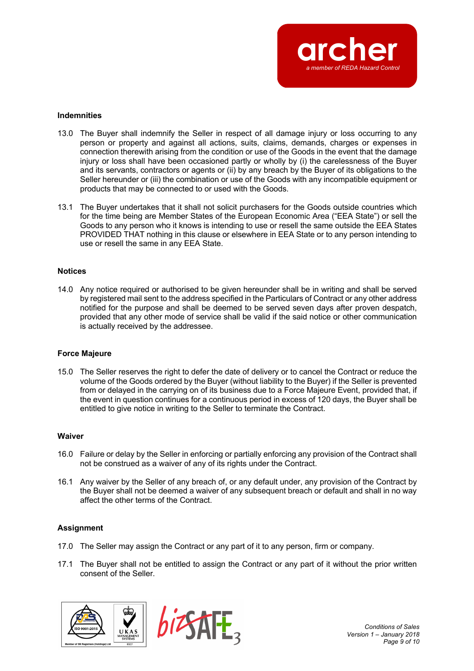

#### **Indemnities**

- 13.0 The Buyer shall indemnify the Seller in respect of all damage injury or loss occurring to any person or property and against all actions, suits, claims, demands, charges or expenses in connection therewith arising from the condition or use of the Goods in the event that the damage injury or loss shall have been occasioned partly or wholly by (i) the carelessness of the Buyer and its servants, contractors or agents or (ii) by any breach by the Buyer of its obligations to the Seller hereunder or (iii) the combination or use of the Goods with any incompatible equipment or products that may be connected to or used with the Goods.
- 13.1 The Buyer undertakes that it shall not solicit purchasers for the Goods outside countries which for the time being are Member States of the European Economic Area ("EEA State") or sell the Goods to any person who it knows is intending to use or resell the same outside the EEA States PROVIDED THAT nothing in this clause or elsewhere in EEA State or to any person intending to use or resell the same in any EEA State.

### **Notices**

14.0 Any notice required or authorised to be given hereunder shall be in writing and shall be served by registered mail sent to the address specified in the Particulars of Contract or any other address notified for the purpose and shall be deemed to be served seven days after proven despatch, provided that any other mode of service shall be valid if the said notice or other communication is actually received by the addressee.

### **Force Majeure**

15.0 The Seller reserves the right to defer the date of delivery or to cancel the Contract or reduce the volume of the Goods ordered by the Buyer (without liability to the Buyer) if the Seller is prevented from or delayed in the carrying on of its business due to a Force Majeure Event, provided that, if the event in question continues for a continuous period in excess of 120 days, the Buyer shall be entitled to give notice in writing to the Seller to terminate the Contract.

#### **Waiver**

- 16.0 Failure or delay by the Seller in enforcing or partially enforcing any provision of the Contract shall not be construed as a waiver of any of its rights under the Contract.
- 16.1 Any waiver by the Seller of any breach of, or any default under, any provision of the Contract by the Buyer shall not be deemed a waiver of any subsequent breach or default and shall in no way affect the other terms of the Contract.

# **Assignment**

- 17.0 The Seller may assign the Contract or any part of it to any person, firm or company.
- 17.1 The Buyer shall not be entitled to assign the Contract or any part of it without the prior written consent of the Seller.





*Conditions of Sales Version 1 – January 2018 Page 9 of 10*